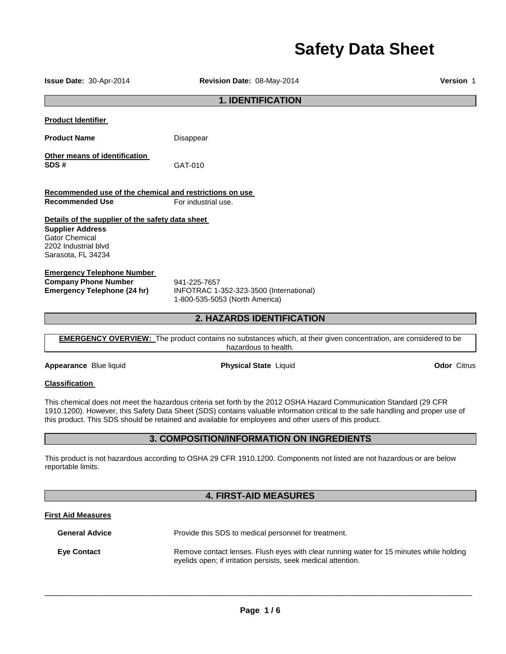# **Safety Data Sheet**

**Issue Date:** 30-Apr-2014 **Revision Date:** 08-May-2014 **Version** 1 **1. IDENTIFICATION Product Identifier Product Name Disappear Other means of identification SDS #** GAT-010 **Recommended use of the chemical and restrictions on use Recommended Use For industrial use Details of the supplier of the safety data sheet Supplier Address** Gator Chemical 2202 Industrial blvd Sarasota, FL 34234 **Emergency Telephone Number Company Phone Number** 941-225-7657<br>**Emergency Telephone (24 hr)** INFOTRAC 1-**Emergency Telephone (24 hr)** INFOTRAC 1-352-323-3500 (International) 1-800-535-5053 (North America) **2. HAZARDS IDENTIFICATION EMERGENCY OVERVIEW:** The product contains no substances which, at their given concentration, are considered to be hazardous to health.

**Appearance** Blue liquid **Physical State** Liquid **Odor** Citrus

### **Classification**

This chemical does not meet the hazardous criteria set forth by the 2012 OSHA Hazard Communication Standard (29 CFR 1910.1200). However, this Safety Data Sheet (SDS) contains valuable information critical to the safe handling and proper use of this product. This SDS should be retained and available for employees and other users of this product.

## **3. COMPOSITION/INFORMATION ON INGREDIENTS**

This product is not hazardous according to OSHA 29 CFR 1910.1200. Components not listed are not hazardous or are below reportable limits.

## **4. FIRST-AID MEASURES**

## **First Aid Measures**

**General Advice** Provide this SDS to medical personnel for treatment. **Eye Contact Remove contact lenses. Flush eyes with clear running water for 15 minutes while holding** eyelids open; if irritation persists, seek medical attention.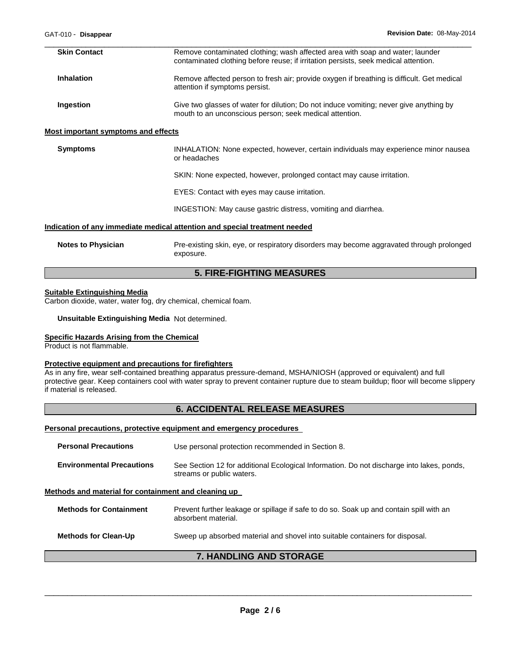| <b>Skin Contact</b>                 | Remove contaminated clothing; wash affected area with soap and water; launder<br>contaminated clothing before reuse; if irritation persists, seek medical attention. |  |
|-------------------------------------|----------------------------------------------------------------------------------------------------------------------------------------------------------------------|--|
| <b>Inhalation</b>                   | Remove affected person to fresh air; provide oxygen if breathing is difficult. Get medical<br>attention if symptoms persist.                                         |  |
| Ingestion                           | Give two glasses of water for dilution; Do not induce vomiting; never give anything by<br>mouth to an unconscious person; seek medical attention.                    |  |
| Most important symptoms and effects |                                                                                                                                                                      |  |
| <b>Symptoms</b>                     | INHALATION: None expected, however, certain individuals may experience minor nausea<br>or headaches                                                                  |  |
|                                     | SKIN: None expected, however, prolonged contact may cause irritation.                                                                                                |  |
|                                     | EYES: Contact with eyes may cause irritation.                                                                                                                        |  |
|                                     | INGESTION: May cause gastric distress, vomiting and diarrhea.                                                                                                        |  |
|                                     | Indication of any immediate medical attention and special treatment needed                                                                                           |  |
| <b>Notes to Physician</b>           | Pre-existing skin, eye, or respiratory disorders may become aggravated through prolonged<br>exposure.                                                                |  |

# **5. FIRE-FIGHTING MEASURES**

#### **Suitable Extinguishing Media**

Carbon dioxide, water, water fog, dry chemical, chemical foam.

#### **Unsuitable Extinguishing Media** Not determined.

## **Specific Hazards Arising from the Chemical**

Product is not flammable.

### **Protective equipment and precautions for firefighters**

As in any fire, wear self-contained breathing apparatus pressure-demand, MSHA/NIOSH (approved or equivalent) and full protective gear. Keep containers cool with water spray to prevent container rupture due to steam buildup; floor will become slippery if material is released.

## **6. ACCIDENTAL RELEASE MEASURES**

## **Personal precautions, protective equipment and emergency procedures**

| <b>Personal Precautions</b>                          | Use personal protection recommended in Section 8.                                                                      |  |  |
|------------------------------------------------------|------------------------------------------------------------------------------------------------------------------------|--|--|
| <b>Environmental Precautions</b>                     | See Section 12 for additional Ecological Information. Do not discharge into lakes, ponds,<br>streams or public waters. |  |  |
| Methods and material for containment and cleaning up |                                                                                                                        |  |  |
| <b>Methods for Containment</b>                       | Prevent further leakage or spillage if safe to do so. Soak up and contain spill with an<br>absorbent material.         |  |  |
| <b>Methods for Clean-Up</b>                          | Sweep up absorbed material and shovel into suitable containers for disposal.                                           |  |  |

## **7. HANDLING AND STORAGE**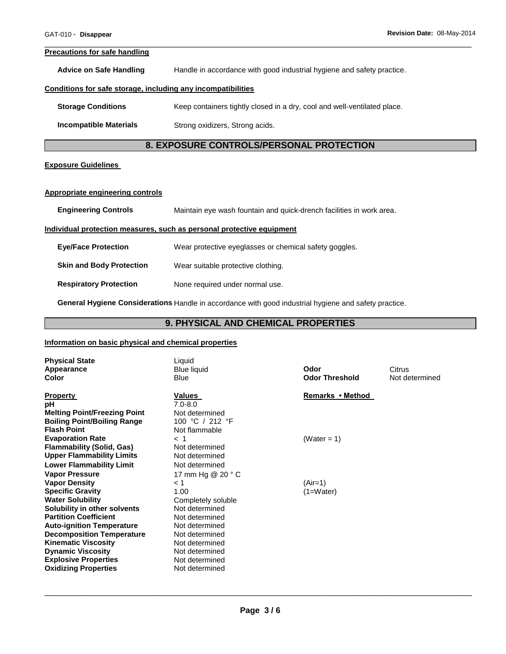#### **Precautions for safe handling**

**Advice on Safe Handling** Handle in accordance with good industrial hygiene and safety practice.

#### **Conditions for safe storage, including any incompatibilities**

**Storage Conditions Keep containers tightly closed in a dry, cool and well-ventilated place.** 

**Incompatible Materials Strong oxidizers, Strong acids.** 

# **8. EXPOSURE CONTROLS/PERSONAL PROTECTION**

\_\_\_\_\_\_\_\_\_\_\_\_\_\_\_\_\_\_\_\_\_\_\_\_\_\_\_\_\_\_\_\_\_\_\_\_\_\_\_\_\_\_\_\_\_\_\_\_\_\_\_\_\_\_\_\_\_\_\_\_\_\_\_\_\_\_\_\_\_\_\_\_\_\_\_\_\_\_\_\_\_\_\_\_\_\_\_\_\_\_\_\_\_

### **Exposure Guidelines**

#### **Appropriate engineering controls**

| <b>Engineering Controls</b> | Maintain eye wash fountain and quick-drench facilities in work area. |
|-----------------------------|----------------------------------------------------------------------|
|-----------------------------|----------------------------------------------------------------------|

### **Individual protection measures, such as personal protective equipment**

| <b>Eve/Face Protection</b>      | Wear protective eyeglasses or chemical safety goggles. |
|---------------------------------|--------------------------------------------------------|
| <b>Skin and Body Protection</b> | Wear suitable protective clothing.                     |
| <b>Respiratory Protection</b>   | None required under normal use.                        |

**General Hygiene Considerations** Handle in accordance with good industrial hygiene and safety practice.

# **9. PHYSICAL AND CHEMICAL PROPERTIES**

## **Information on basic physical and chemical properties**

| <b>Physical State</b><br>Appearance<br>Color                              | Liquid<br><b>Blue liquid</b><br>Blue | Odor<br><b>Odor Threshold</b> | Citrus<br>Not determined |
|---------------------------------------------------------------------------|--------------------------------------|-------------------------------|--------------------------|
| <b>Property</b>                                                           | Values                               | Remarks • Method              |                          |
| рH                                                                        | $7.0 - 8.0$<br>Not determined        |                               |                          |
| <b>Melting Point/Freezing Point</b><br><b>Boiling Point/Boiling Range</b> | 100 °C / 212 °F                      |                               |                          |
| <b>Flash Point</b>                                                        | Not flammable                        |                               |                          |
| <b>Evaporation Rate</b>                                                   | $<$ 1                                | (Water = 1)                   |                          |
| <b>Flammability (Solid, Gas)</b>                                          | Not determined                       |                               |                          |
| <b>Upper Flammability Limits</b>                                          | Not determined                       |                               |                          |
| <b>Lower Flammability Limit</b>                                           | Not determined                       |                               |                          |
| <b>Vapor Pressure</b>                                                     | 17 mm Hg @ 20 ° C                    |                               |                          |
| <b>Vapor Density</b>                                                      | < 1                                  | $(Air=1)$                     |                          |
| <b>Specific Gravity</b>                                                   | 1.00                                 | $(1=Water)$                   |                          |
| <b>Water Solubility</b>                                                   | Completely soluble                   |                               |                          |
| Solubility in other solvents                                              | Not determined                       |                               |                          |
| <b>Partition Coefficient</b>                                              | Not determined                       |                               |                          |
| <b>Auto-ignition Temperature</b>                                          | Not determined                       |                               |                          |
| <b>Decomposition Temperature</b>                                          | Not determined                       |                               |                          |
| <b>Kinematic Viscosity</b>                                                | Not determined                       |                               |                          |
| <b>Dynamic Viscosity</b>                                                  | Not determined                       |                               |                          |
| <b>Explosive Properties</b>                                               | Not determined                       |                               |                          |
| <b>Oxidizing Properties</b>                                               | Not determined                       |                               |                          |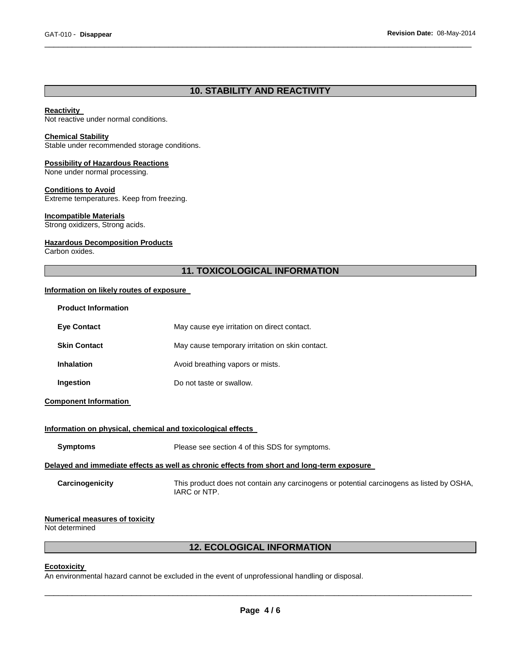# **10. STABILITY AND REACTIVITY**

\_\_\_\_\_\_\_\_\_\_\_\_\_\_\_\_\_\_\_\_\_\_\_\_\_\_\_\_\_\_\_\_\_\_\_\_\_\_\_\_\_\_\_\_\_\_\_\_\_\_\_\_\_\_\_\_\_\_\_\_\_\_\_\_\_\_\_\_\_\_\_\_\_\_\_\_\_\_\_\_\_\_\_\_\_\_\_\_\_\_\_\_\_

#### **Reactivity**

Not reactive under normal conditions.

#### **Chemical Stability**

Stable under recommended storage conditions.

## **Possibility of Hazardous Reactions**

None under normal processing.

## **Conditions to Avoid**

Extreme temperatures. Keep from freezing.

## **Incompatible Materials**

Strong oxidizers, Strong acids.

## **Hazardous Decomposition Products**

Carbon oxides.

# **11. TOXICOLOGICAL INFORMATION**

## **Information on likely routes of exposure**

| <b>Product Information</b>                                                                 |                                                                                                           |  |  |
|--------------------------------------------------------------------------------------------|-----------------------------------------------------------------------------------------------------------|--|--|
| <b>Eye Contact</b>                                                                         | May cause eye irritation on direct contact.                                                               |  |  |
| <b>Skin Contact</b>                                                                        | May cause temporary irritation on skin contact.                                                           |  |  |
| <b>Inhalation</b>                                                                          | Avoid breathing vapors or mists.                                                                          |  |  |
| Ingestion                                                                                  | Do not taste or swallow.                                                                                  |  |  |
| <b>Component Information</b>                                                               |                                                                                                           |  |  |
| Information on physical, chemical and toxicological effects                                |                                                                                                           |  |  |
| <b>Symptoms</b>                                                                            | Please see section 4 of this SDS for symptoms.                                                            |  |  |
| Delayed and immediate effects as well as chronic effects from short and long-term exposure |                                                                                                           |  |  |
| Carcinogenicity                                                                            | This product does not contain any carcinogens or potential carcinogens as listed by OSHA,<br>IARC or NTP. |  |  |
| <b>Numerical measures of toxicity</b><br>Not determined                                    |                                                                                                           |  |  |

# **12. ECOLOGICAL INFORMATION**

#### **Ecotoxicity**

An environmental hazard cannot be excluded in the event of unprofessional handling or disposal.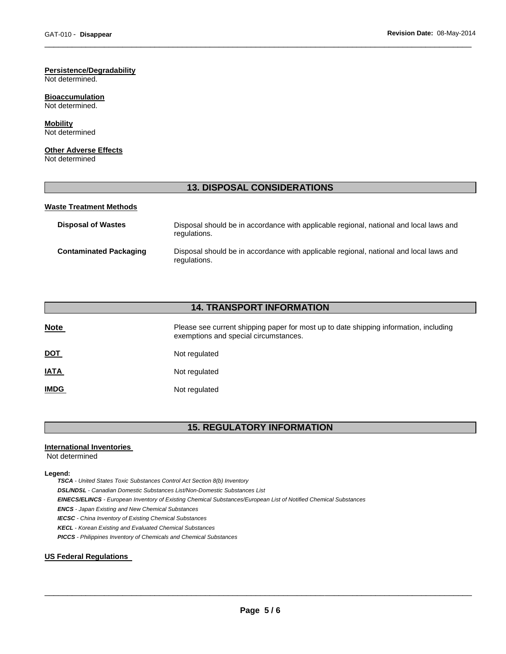# **Persistence/Degradability**

Not determined.

#### **Bioaccumulation** Not determined.

## **Mobility**

Not determined

## **Other Adverse Effects**

Not determined

# **13. DISPOSAL CONSIDERATIONS**

\_\_\_\_\_\_\_\_\_\_\_\_\_\_\_\_\_\_\_\_\_\_\_\_\_\_\_\_\_\_\_\_\_\_\_\_\_\_\_\_\_\_\_\_\_\_\_\_\_\_\_\_\_\_\_\_\_\_\_\_\_\_\_\_\_\_\_\_\_\_\_\_\_\_\_\_\_\_\_\_\_\_\_\_\_\_\_\_\_\_\_\_\_

### **Waste Treatment Methods**

| Disposal of Wastes     | Disposal should be in accordance with applicable regional, national and local laws and<br>regulations. |
|------------------------|--------------------------------------------------------------------------------------------------------|
| Contaminated Packaging | Disposal should be in accordance with applicable regional, national and local laws and<br>regulations. |

# **14. TRANSPORT INFORMATION**

| <b>Note</b> | Please see current shipping paper for most up to date shipping information, including<br>exemptions and special circumstances. |
|-------------|--------------------------------------------------------------------------------------------------------------------------------|
| <u>DOT</u>  | Not regulated                                                                                                                  |
| <u>IATA</u> | Not regulated                                                                                                                  |
| <u>IMDG</u> | Not regulated                                                                                                                  |

# **15. REGULATORY INFORMATION**

### **International Inventories**

Not determined

#### **Legend:**

*TSCA - United States Toxic Substances Control Act Section 8(b) Inventory* 

*DSL/NDSL - Canadian Domestic Substances List/Non-Domestic Substances List* 

*EINECS/ELINCS - European Inventory of Existing Chemical Substances/European List of Notified Chemical Substances* 

*ENCS - Japan Existing and New Chemical Substances* 

*IECSC - China Inventory of Existing Chemical Substances* 

*KECL - Korean Existing and Evaluated Chemical Substances* 

*PICCS - Philippines Inventory of Chemicals and Chemical Substances* 

## **US Federal Regulations**